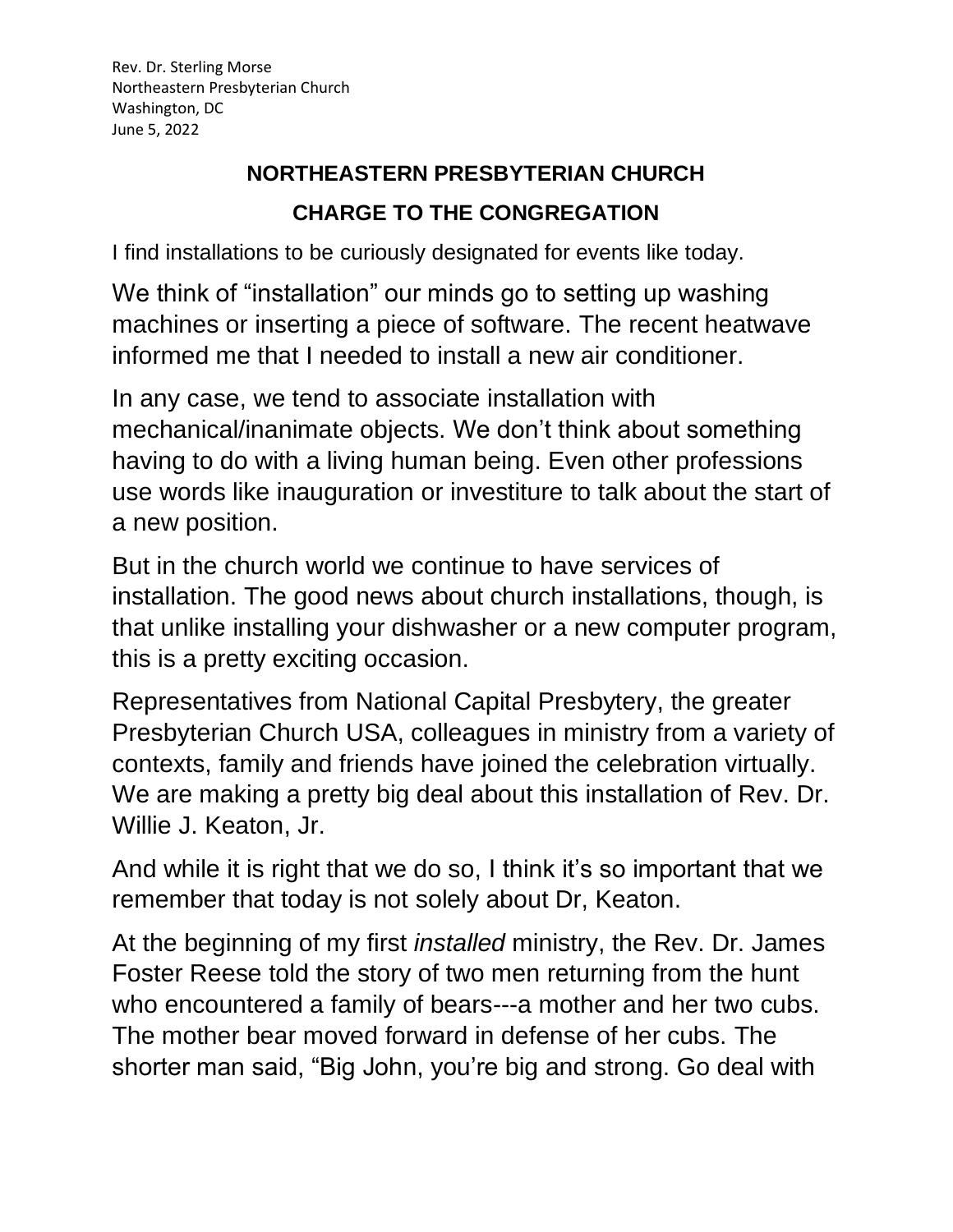## **NORTHEASTERN PRESBYTERIAN CHURCH CHARGE TO THE CONGREGATION**

I find installations to be curiously designated for events like today.

We think of "installation" our minds go to setting up washing machines or inserting a piece of software. The recent heatwave informed me that I needed to install a new air conditioner.

In any case, we tend to associate installation with mechanical/inanimate objects. We don't think about something having to do with a living human being. Even other professions use words like inauguration or investiture to talk about the start of a new position.

But in the church world we continue to have services of installation. The good news about church installations, though, is that unlike installing your dishwasher or a new computer program, this is a pretty exciting occasion.

Representatives from National Capital Presbytery, the greater Presbyterian Church USA, colleagues in ministry from a variety of contexts, family and friends have joined the celebration virtually. We are making a pretty big deal about this installation of Rev. Dr. Willie J. Keaton, Jr.

And while it is right that we do so, I think it's so important that we remember that today is not solely about Dr, Keaton.

At the beginning of my first *installed* ministry, the Rev. Dr. James Foster Reese told the story of two men returning from the hunt who encountered a family of bears---a mother and her two cubs. The mother bear moved forward in defense of her cubs. The shorter man said, "Big John, you're big and strong. Go deal with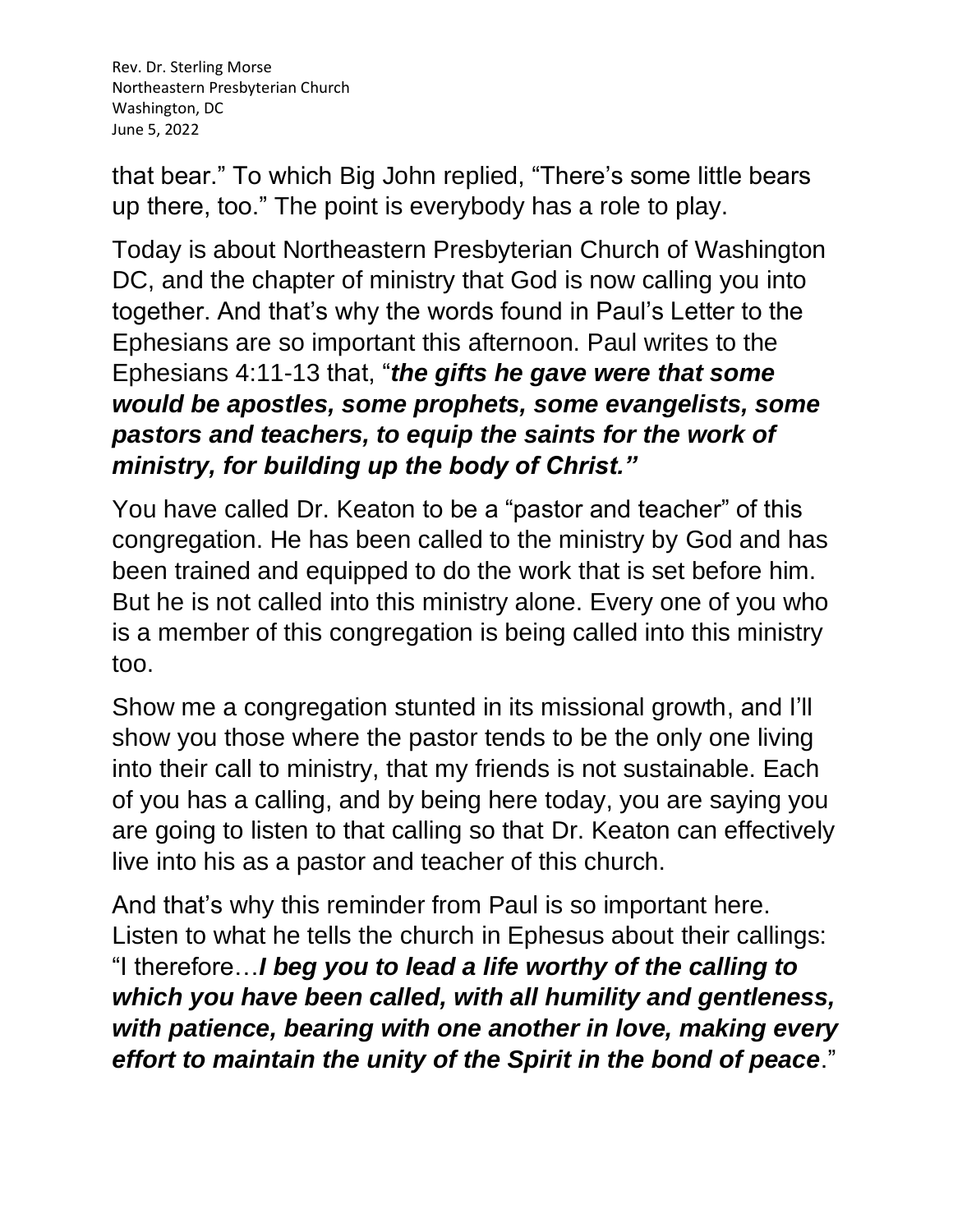Rev. Dr. Sterling Morse Northeastern Presbyterian Church Washington, DC June 5, 2022

that bear." To which Big John replied, "There's some little bears up there, too." The point is everybody has a role to play.

Today is about Northeastern Presbyterian Church of Washington DC, and the chapter of ministry that God is now calling you into together. And that's why the words found in Paul's Letter to the Ephesians are so important this afternoon. Paul writes to the Ephesians 4:11-13 that, "*the gifts he gave were that some would be apostles, some prophets, some evangelists, some pastors and teachers, to equip the saints for the work of ministry, for building up the body of Christ."*

You have called Dr. Keaton to be a "pastor and teacher" of this congregation. He has been called to the ministry by God and has been trained and equipped to do the work that is set before him. But he is not called into this ministry alone. Every one of you who is a member of this congregation is being called into this ministry too.

Show me a congregation stunted in its missional growth, and I'll show you those where the pastor tends to be the only one living into their call to ministry, that my friends is not sustainable. Each of you has a calling, and by being here today, you are saying you are going to listen to that calling so that Dr. Keaton can effectively live into his as a pastor and teacher of this church.

And that's why this reminder from Paul is so important here. Listen to what he tells the church in Ephesus about their callings: "I therefore…*I beg you to lead a life worthy of the calling to which you have been called, with all humility and gentleness, with patience, bearing with one another in love, making every effort to maintain the unity of the Spirit in the bond of peace*."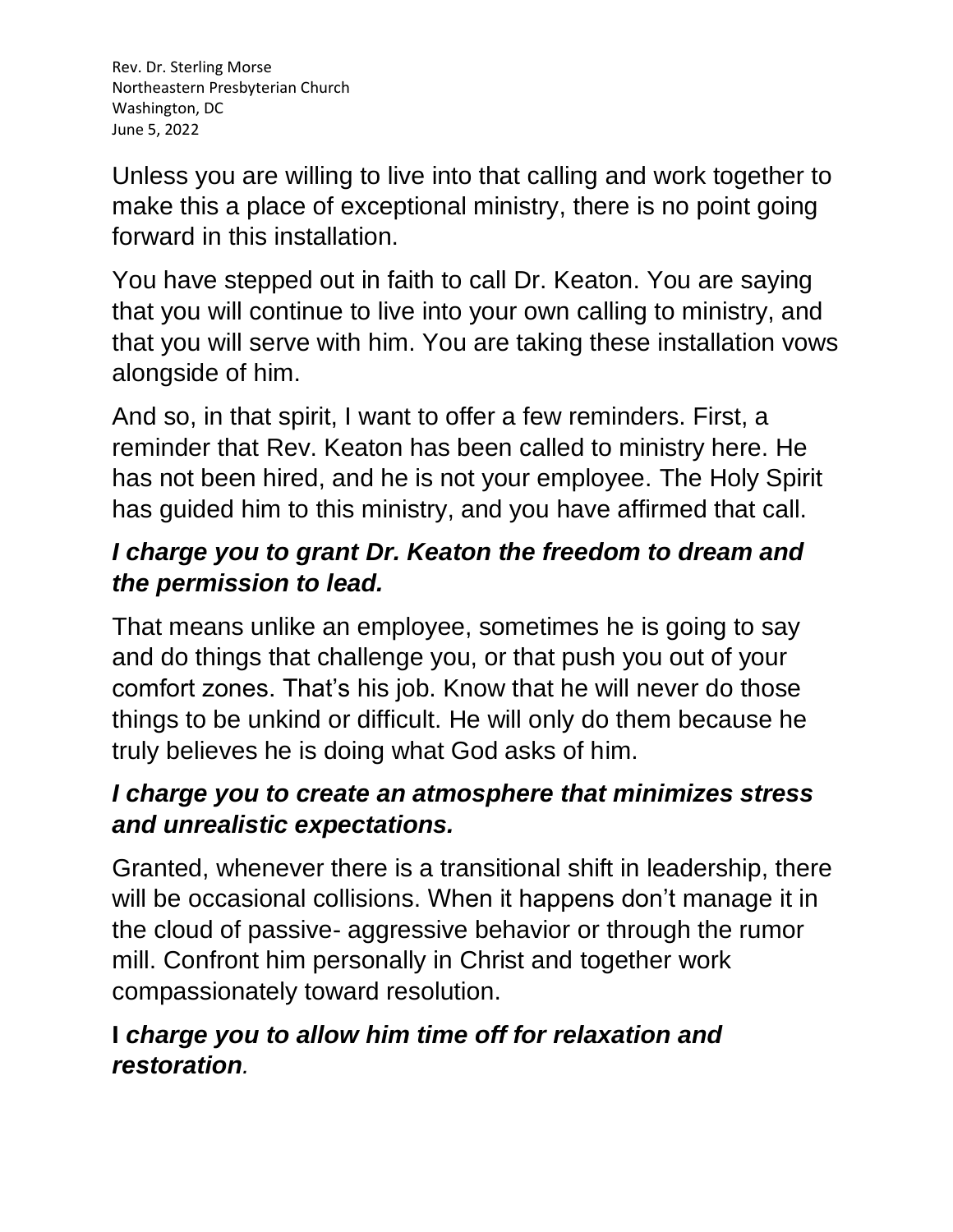Rev. Dr. Sterling Morse Northeastern Presbyterian Church Washington, DC June 5, 2022

Unless you are willing to live into that calling and work together to make this a place of exceptional ministry, there is no point going forward in this installation.

You have stepped out in faith to call Dr. Keaton. You are saying that you will continue to live into your own calling to ministry, and that you will serve with him. You are taking these installation vows alongside of him.

And so, in that spirit, I want to offer a few reminders. First, a reminder that Rev. Keaton has been called to ministry here. He has not been hired, and he is not your employee. The Holy Spirit has guided him to this ministry, and you have affirmed that call.

## *I charge you to grant Dr. Keaton the freedom to dream and the permission to lead.*

That means unlike an employee, sometimes he is going to say and do things that challenge you, or that push you out of your comfort zones. That's his job. Know that he will never do those things to be unkind or difficult. He will only do them because he truly believes he is doing what God asks of him.

## *I charge you to create an atmosphere that minimizes stress and unrealistic expectations.*

Granted, whenever there is a transitional shift in leadership, there will be occasional collisions. When it happens don't manage it in the cloud of passive- aggressive behavior or through the rumor mill. Confront him personally in Christ and together work compassionately toward resolution.

## **I** *charge you to allow him time off for relaxation and restoration.*